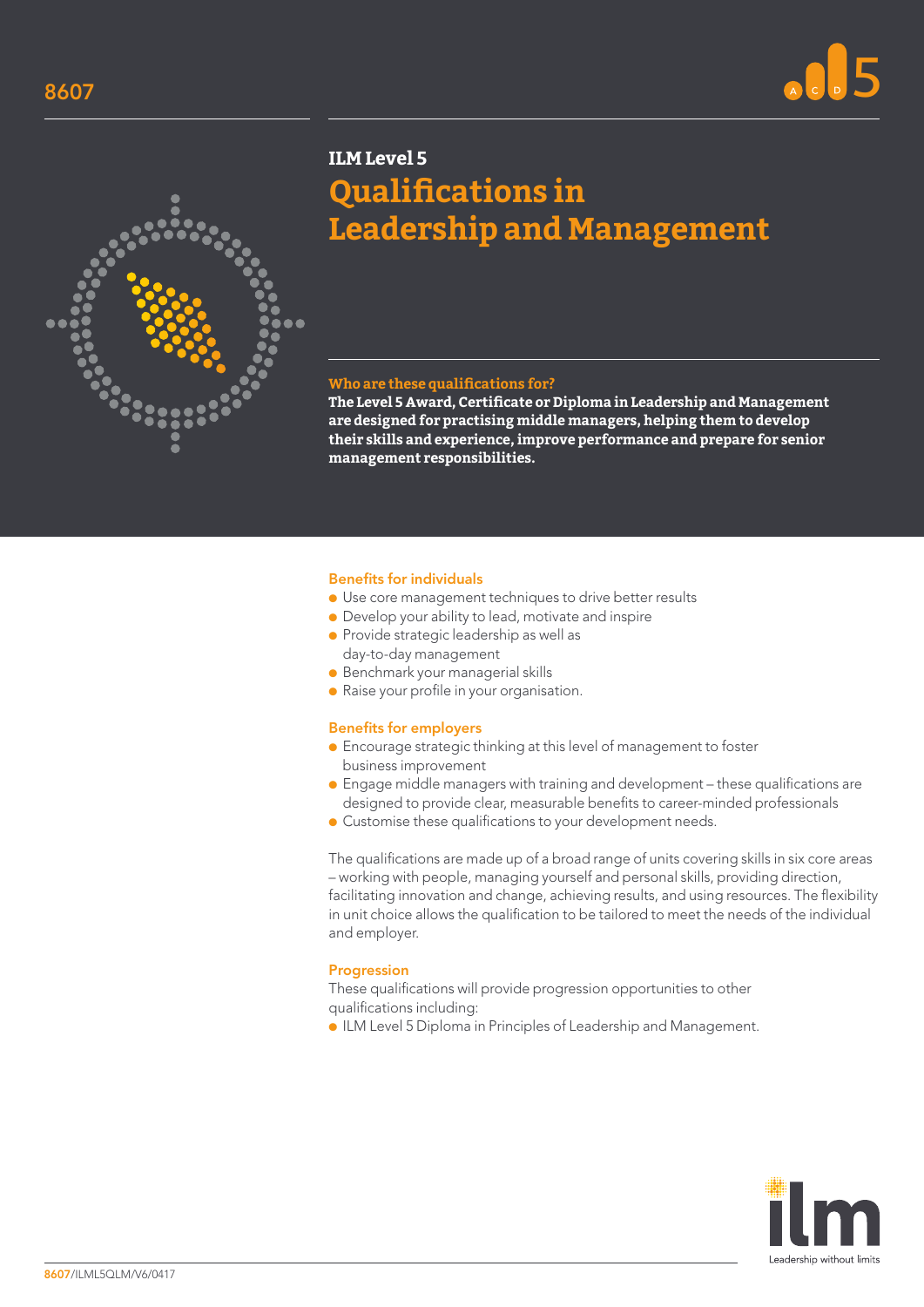



# **ILM Level 5 Qualifications in Leadership and Management**

### **Who are these qualifications for?**

**The Level 5 Award, Certificate or Diploma in Leadership and Management are designed for practising middle managers, helping them to develop their skills and experience, improve performance and prepare for senior management responsibilities.**

#### Benefits for individuals

- Use core management techniques to drive better results
- Develop your ability to lead, motivate and inspire
- Provide strategic leadership as well as day-to-day management
- Benchmark your managerial skills
- Raise your profile in your organisation.

#### Benefits for employers

- Encourage strategic thinking at this level of management to foster business improvement
- Engage middle managers with training and development these qualifications are designed to provide clear, measurable benefits to career-minded professionals
- Customise these qualifications to your development needs.

The qualifications are made up of a broad range of units covering skills in six core areas – working with people, managing yourself and personal skills, providing direction, facilitating innovation and change, achieving results, and using resources. The flexibility in unit choice allows the qualification to be tailored to meet the needs of the individual and employer.

#### Progression

These qualifications will provide progression opportunities to other qualifications including:

● ILM Level 5 Diploma in Principles of Leadership and Management.

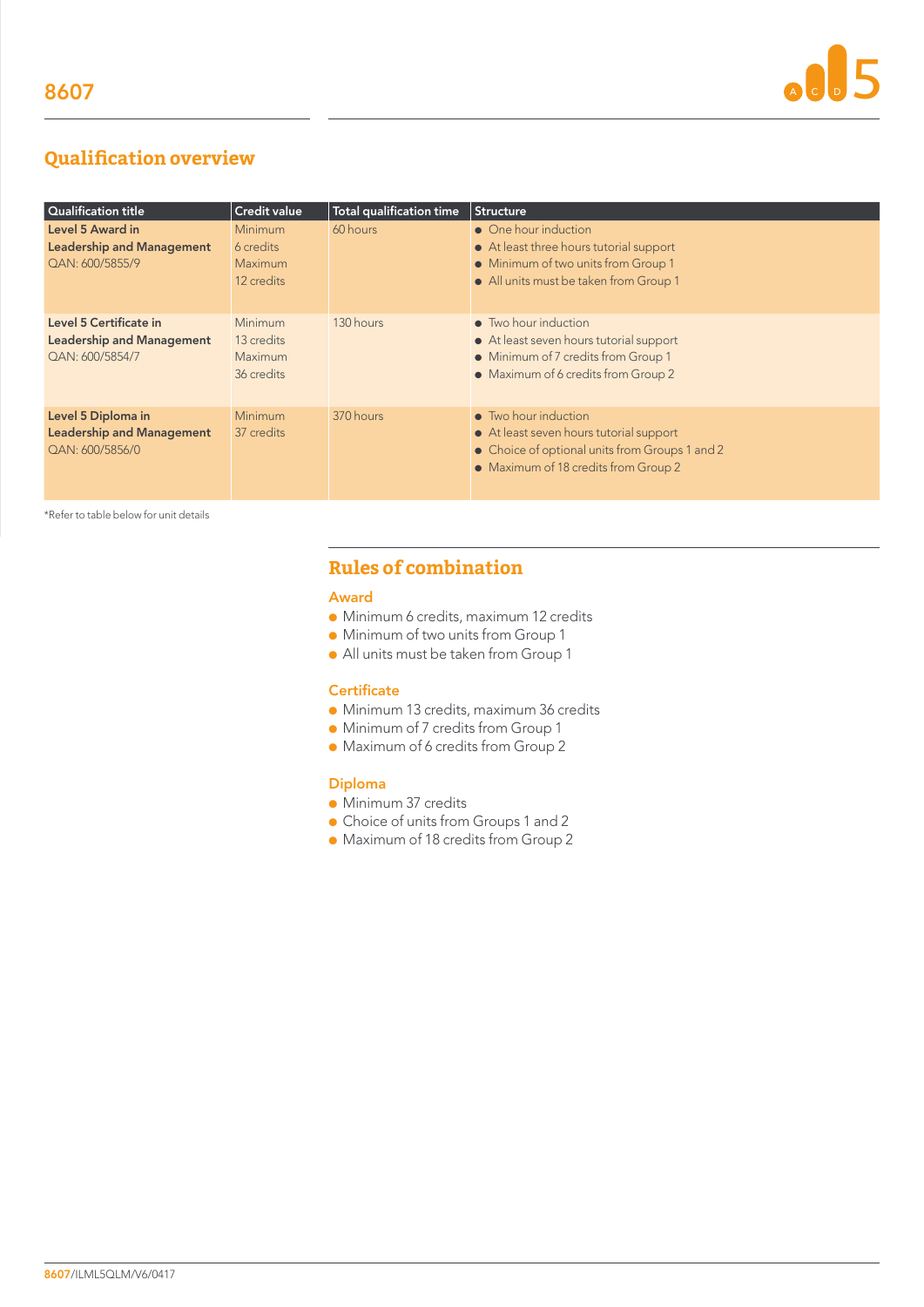# **Qualification overview**

| Qualification title                                                           | <b>Credit value</b>                            | <b>Total qualification time</b> | <b>Structure</b>                                                                                                                                          |
|-------------------------------------------------------------------------------|------------------------------------------------|---------------------------------|-----------------------------------------------------------------------------------------------------------------------------------------------------------|
| Level 5 Award in<br><b>Leadership and Management</b><br>QAN: 600/5855/9       | Minimum<br>6 credits<br>Maximum<br>12 credits  | 60 hours                        | • One hour induction<br>• At least three hours tutorial support<br>• Minimum of two units from Group 1<br>• All units must be taken from Group 1          |
| Level 5 Certificate in<br><b>Leadership and Management</b><br>QAN: 600/5854/7 | Minimum<br>13 credits<br>Maximum<br>36 credits | 130 hours                       | • Two hour induction<br>• At least seven hours tutorial support<br>• Minimum of 7 credits from Group 1<br>• Maximum of 6 credits from Group 2             |
| Level 5 Diploma in<br><b>Leadership and Management</b><br>QAN: 600/5856/0     | Minimum<br>37 credits                          | 370 hours                       | • Two hour induction<br>• At least seven hours tutorial support<br>• Choice of optional units from Groups 1 and 2<br>• Maximum of 18 credits from Group 2 |

\*Refer to table below for unit details

# **Rules of combination**

#### Award

- Minimum 6 credits, maximum 12 credits
- Minimum of two units from Group 1
- All units must be taken from Group 1

# **Certificate**

- Minimum 13 credits, maximum 36 credits
- Minimum of 7 credits from Group 1
- Maximum of 6 credits from Group 2

## Diploma

- Minimum 37 credits
- Choice of units from Groups 1 and 2
- Maximum of 18 credits from Group 2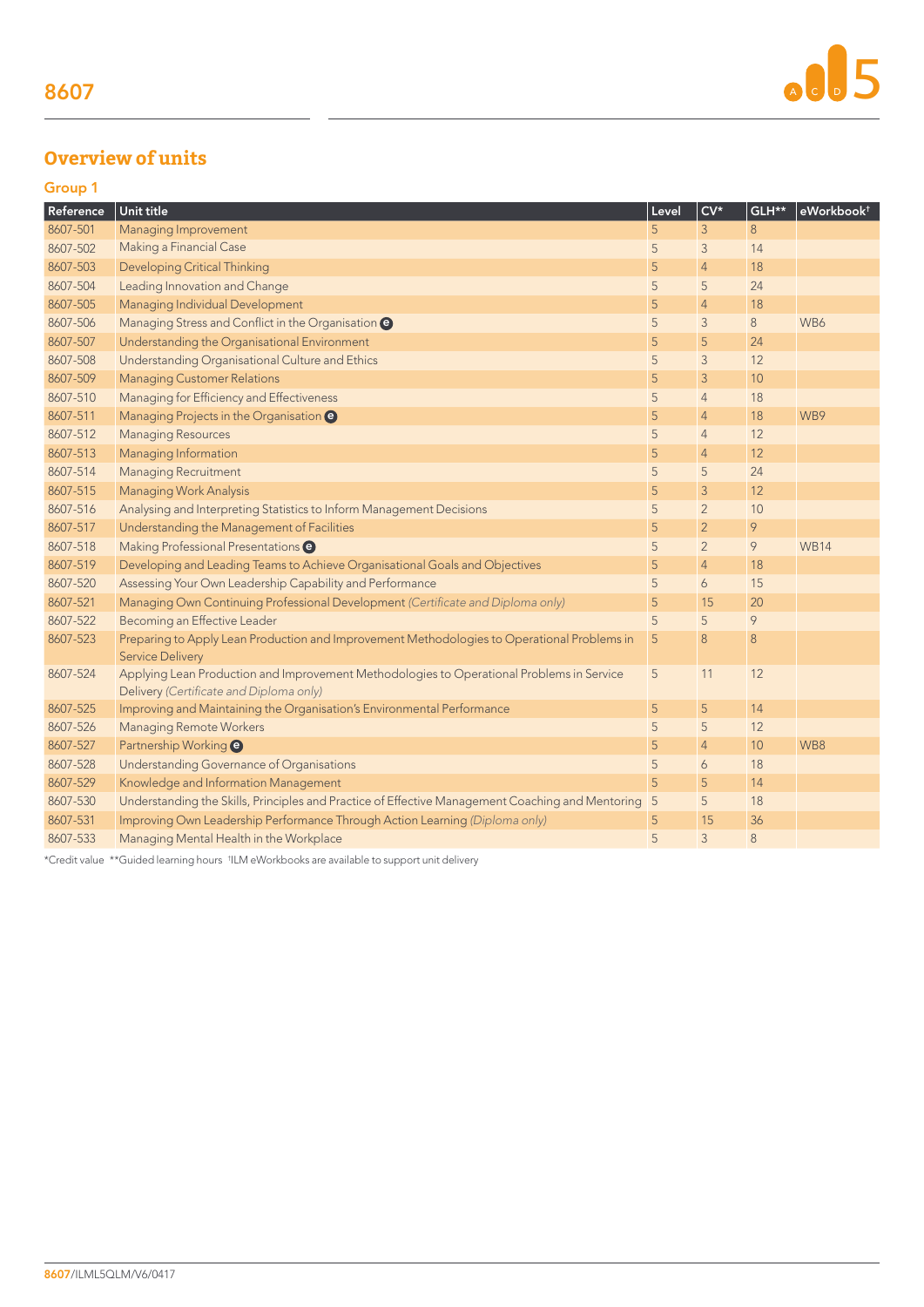# **Overview of units**

| P.<br>PV 1          |  |
|---------------------|--|
| ___<br>__<br>$\sim$ |  |

| Reference | Unit title                                                                                                                           | Level          | $CV*$          | GLH** | eWorkbook <sup>+</sup> |
|-----------|--------------------------------------------------------------------------------------------------------------------------------------|----------------|----------------|-------|------------------------|
| 8607-501  | Managing Improvement                                                                                                                 | 5              | 3              | 8     |                        |
| 8607-502  | Making a Financial Case                                                                                                              | 5              | 3              | 14    |                        |
| 8607-503  | <b>Developing Critical Thinking</b>                                                                                                  | 5              | $\overline{4}$ | 18    |                        |
| 8607-504  | Leading Innovation and Change                                                                                                        | 5              | 5              | 24    |                        |
| 8607-505  | Managing Individual Development                                                                                                      | 5              | $\overline{4}$ | 18    |                        |
| 8607-506  | Managing Stress and Conflict in the Organisation @                                                                                   | 5              | 3              | 8     | WB6                    |
| 8607-507  | Understanding the Organisational Environment                                                                                         | 5              | 5              | 24    |                        |
| 8607-508  | Understanding Organisational Culture and Ethics                                                                                      | 5              | 3              | 12    |                        |
| 8607-509  | <b>Managing Customer Relations</b>                                                                                                   | 5              | 3              | 10    |                        |
| 8607-510  | Managing for Efficiency and Effectiveness                                                                                            | 5              | $\overline{4}$ | 18    |                        |
| 8607-511  | Managing Projects in the Organisation @                                                                                              | 5              | $\overline{4}$ | 18    | WB9                    |
| 8607-512  | <b>Managing Resources</b>                                                                                                            | 5              | $\overline{4}$ | 12    |                        |
| 8607-513  | Managing Information                                                                                                                 | 5              | $\overline{4}$ | 12    |                        |
| 8607-514  | <b>Managing Recruitment</b>                                                                                                          | 5              | 5              | 24    |                        |
| 8607-515  | <b>Managing Work Analysis</b>                                                                                                        | 5              | 3              | 12    |                        |
| 8607-516  | Analysing and Interpreting Statistics to Inform Management Decisions                                                                 | 5              | $\overline{2}$ | 10    |                        |
| 8607-517  | Understanding the Management of Facilities                                                                                           | 5              | $\overline{2}$ | 9     |                        |
| 8607-518  | Making Professional Presentations <sup>@</sup>                                                                                       | 5              | $\overline{2}$ | 9     | <b>WB14</b>            |
| 8607-519  | Developing and Leading Teams to Achieve Organisational Goals and Objectives                                                          | 5              | $\overline{4}$ | 18    |                        |
| 8607-520  | Assessing Your Own Leadership Capability and Performance                                                                             | 5              | 6              | 15    |                        |
| 8607-521  | Managing Own Continuing Professional Development (Certificate and Diploma only)                                                      | 5              | 15             | 20    |                        |
| 8607-522  | Becoming an Effective Leader                                                                                                         | 5              | 5              | 9     |                        |
| 8607-523  | Preparing to Apply Lean Production and Improvement Methodologies to Operational Problems in<br><b>Service Delivery</b>               | 5              | 8              | 8     |                        |
| 8607-524  | Applying Lean Production and Improvement Methodologies to Operational Problems in Service<br>Delivery (Certificate and Diploma only) | 5              | 11             | 12    |                        |
| 8607-525  | Improving and Maintaining the Organisation's Environmental Performance                                                               | 5              | 5              | 14    |                        |
| 8607-526  | <b>Managing Remote Workers</b>                                                                                                       | 5              | 5              | 12    |                        |
| 8607-527  | Partnership Working <sup>O</sup>                                                                                                     | 5              | $\overline{4}$ | 10    | WB8                    |
| 8607-528  | Understanding Governance of Organisations                                                                                            | 5              | 6              | 18    |                        |
| 8607-529  | Knowledge and Information Management                                                                                                 | 5              | 5              | 14    |                        |
| 8607-530  | Understanding the Skills, Principles and Practice of Effective Management Coaching and Mentoring                                     | $\overline{5}$ | 5              | 18    |                        |
| 8607-531  | Improving Own Leadership Performance Through Action Learning (Diploma only)                                                          | 5              | 15             | 36    |                        |
| 8607-533  | Managing Mental Health in the Workplace                                                                                              | 5              | 3              | 8     |                        |

\*Credit value \*\*Guided learning hours † ILM eWorkbooks are available to support unit delivery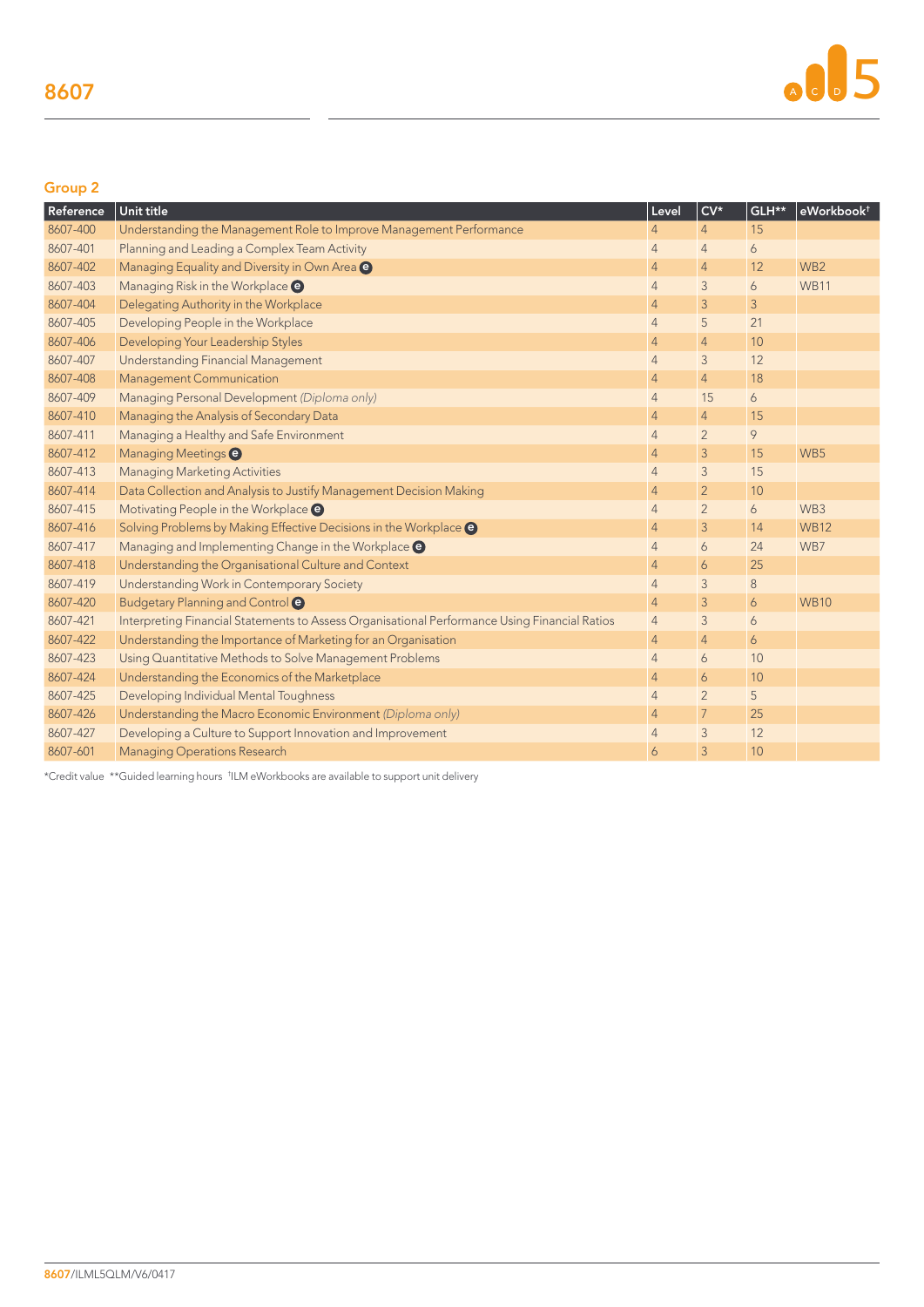# Group 2

| Reference | Unit title                                                                                    | Level          | $CV*$          | GLH** | eWorkbook <sup>+</sup> |
|-----------|-----------------------------------------------------------------------------------------------|----------------|----------------|-------|------------------------|
| 8607-400  | Understanding the Management Role to Improve Management Performance                           | $\overline{4}$ | $\overline{4}$ | 15    |                        |
| 8607-401  | Planning and Leading a Complex Team Activity                                                  | $\overline{4}$ | $\overline{4}$ | 6     |                        |
| 8607-402  | Managing Equality and Diversity in Own Area @                                                 | $\overline{4}$ | $\overline{4}$ | 12    | WB <sub>2</sub>        |
| 8607-403  | Managing Risk in the Workplace <sup>@</sup>                                                   | $\overline{4}$ | 3              | 6     | <b>WB11</b>            |
| 8607-404  | Delegating Authority in the Workplace                                                         | $\overline{4}$ | 3              | 3     |                        |
| 8607-405  | Developing People in the Workplace                                                            | $\overline{4}$ | 5              | 21    |                        |
| 8607-406  | Developing Your Leadership Styles                                                             | $\overline{4}$ | $\overline{4}$ | 10    |                        |
| 8607-407  | Understanding Financial Management                                                            | $\overline{4}$ | 3              | 12    |                        |
| 8607-408  | <b>Management Communication</b>                                                               | $\overline{4}$ | $\overline{4}$ | 18    |                        |
| 8607-409  | Managing Personal Development (Diploma only)                                                  | $\overline{4}$ | 15             | 6     |                        |
| 8607-410  | Managing the Analysis of Secondary Data                                                       | $\overline{4}$ | $\overline{4}$ | 15    |                        |
| 8607-411  | Managing a Healthy and Safe Environment                                                       | $\overline{4}$ | $\overline{2}$ | 9     |                        |
| 8607-412  | Managing Meetings <sup>O</sup>                                                                | $\overline{4}$ | 3              | 15    | WB5                    |
| 8607-413  | <b>Managing Marketing Activities</b>                                                          | $\overline{4}$ | 3              | 15    |                        |
| 8607-414  | Data Collection and Analysis to Justify Management Decision Making                            | $\overline{4}$ | $\overline{2}$ | 10    |                        |
| 8607-415  | Motivating People in the Workplace @                                                          | $\overline{4}$ | $\overline{2}$ | 6     | WB3                    |
| 8607-416  | Solving Problems by Making Effective Decisions in the Workplace @                             | $\overline{4}$ | 3              | 14    | <b>WB12</b>            |
| 8607-417  | Managing and Implementing Change in the Workplace @                                           | $\overline{4}$ | 6              | 24    | WB7                    |
| 8607-418  | Understanding the Organisational Culture and Context                                          | $\overline{4}$ | 6              | 25    |                        |
| 8607-419  | Understanding Work in Contemporary Society                                                    | $\overline{4}$ | 3              | 8     |                        |
| 8607-420  | Budgetary Planning and Control <sup>O</sup>                                                   | $\overline{4}$ | 3              | 6     | <b>WB10</b>            |
| 8607-421  | Interpreting Financial Statements to Assess Organisational Performance Using Financial Ratios | $\overline{4}$ | 3              | 6     |                        |
| 8607-422  | Understanding the Importance of Marketing for an Organisation                                 | $\overline{4}$ | $\overline{4}$ | 6     |                        |
| 8607-423  | Using Quantitative Methods to Solve Management Problems                                       | $\overline{4}$ | 6              | 10    |                        |
| 8607-424  | Understanding the Economics of the Marketplace                                                | $\overline{4}$ | 6              | 10    |                        |
| 8607-425  | Developing Individual Mental Toughness                                                        | $\overline{4}$ | $\overline{2}$ | 5     |                        |
| 8607-426  | Understanding the Macro Economic Environment (Diploma only)                                   | $\overline{4}$ | $\overline{7}$ | 25    |                        |
| 8607-427  | Developing a Culture to Support Innovation and Improvement                                    | $\overline{4}$ | 3              | 12    |                        |
| 8607-601  | <b>Managing Operations Research</b>                                                           | 6              | 3              | 10    |                        |

\*Credit value \*\*Guided learning hours † ILM eWorkbooks are available to support unit delivery